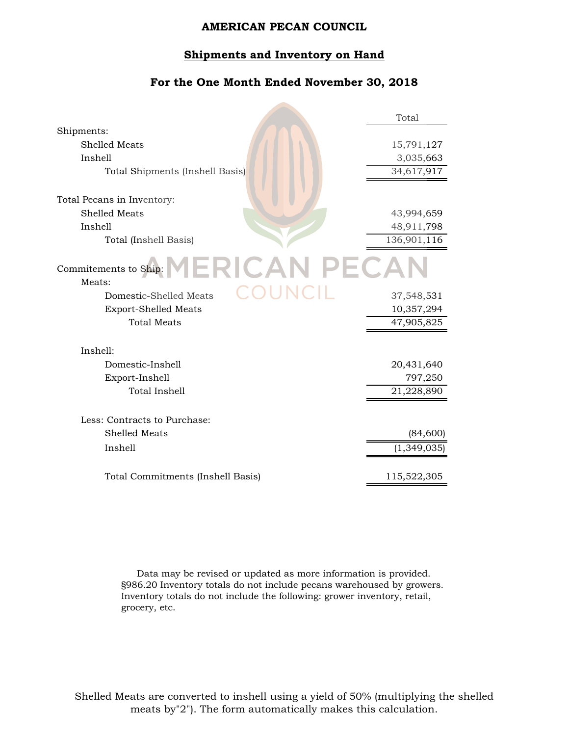#### **Shipments and Inventory on Hand**

### **For the One Month Ended November 30, 2018**

|                                                | Total       |
|------------------------------------------------|-------------|
| Shipments:                                     |             |
| Shelled Meats                                  | 15,791,127  |
| Inshell                                        | 3,035,663   |
| Total Shipments (Inshell Basis)                | 34,617,917  |
|                                                |             |
| Total Pecans in Inventory:                     |             |
| <b>Shelled Meats</b>                           | 43,994,659  |
| Inshell                                        | 48,911,798  |
| Total (Inshell Basis)                          | 136,901,116 |
| Commitements to Ship: $MERICAL PECA$<br>Meats: |             |
| OUNCIL<br>Domestic-Shelled Meats               | 37,548,531  |
| <b>Export-Shelled Meats</b>                    | 10,357,294  |
| <b>Total Meats</b>                             | 47,905,825  |
| Inshell:                                       |             |
| Domestic-Inshell                               | 20,431,640  |
| Export-Inshell                                 | 797,250     |
| Total Inshell                                  | 21,228,890  |
| Less: Contracts to Purchase:                   |             |
| Shelled Meats                                  | (84,600)    |
| Inshell                                        | (1,349,035) |
| Total Commitments (Inshell Basis)              | 115,522,305 |

Data may be revised or updated as more information is provided. §986.20 Inventory totals do not include pecans warehoused by growers. Inventory totals do not include the following: grower inventory, retail, grocery, etc.

Shelled Meats are converted to inshell using a yield of 50% (multiplying the shelled meats by"2"). The form automatically makes this calculation.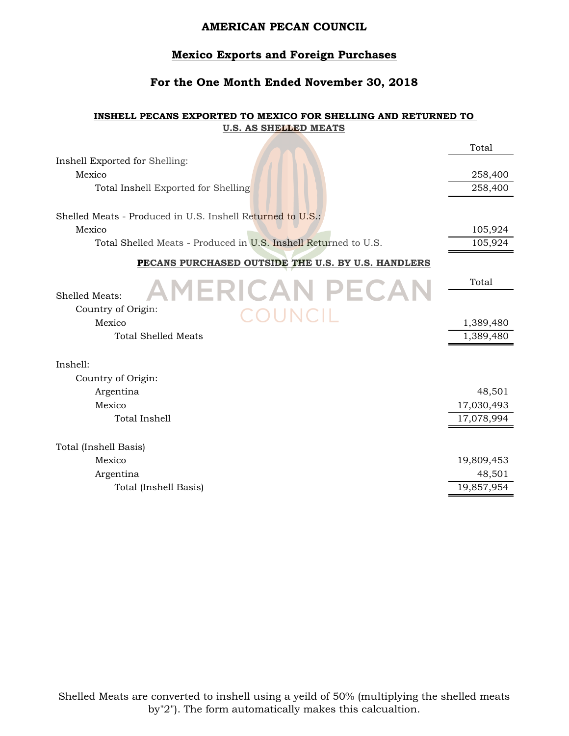# **Mexico Exports and Foreign Purchases**

### **For the One Month Ended November 30, 2018**

#### **INSHELL PECANS EXPORTED TO MEXICO FOR SHELLING AND RETURNED TO U.S. AS SHELLED MEATS**

|                                                                 | Total      |
|-----------------------------------------------------------------|------------|
| Inshell Exported for Shelling:                                  |            |
| Mexico                                                          | 258,400    |
| Total Inshell Exported for Shelling                             | 258,400    |
| Shelled Meats - Produced in U.S. Inshell Returned to U.S.:      |            |
| Mexico                                                          | 105,924    |
| Total Shelled Meats - Produced in U.S. Inshell Returned to U.S. | 105,924    |
| PECANS PURCHASED OUTSIDE THE U.S. BY U.S. HANDLERS              |            |
| <b>AMERICAN PECAN</b>                                           | Total      |
| Shelled Meats:                                                  |            |
| Country of Origin:<br>OUNCIL                                    |            |
| Mexico                                                          | 1,389,480  |
| <b>Total Shelled Meats</b>                                      | 1,389,480  |
| Inshell:                                                        |            |
| Country of Origin:                                              |            |
| Argentina                                                       | 48,501     |
| Mexico                                                          | 17,030,493 |
| Total Inshell                                                   | 17,078,994 |
|                                                                 |            |
| Total (Inshell Basis)                                           |            |
| Mexico                                                          | 19,809,453 |
| Argentina                                                       | 48,501     |
| Total (Inshell Basis)                                           | 19,857,954 |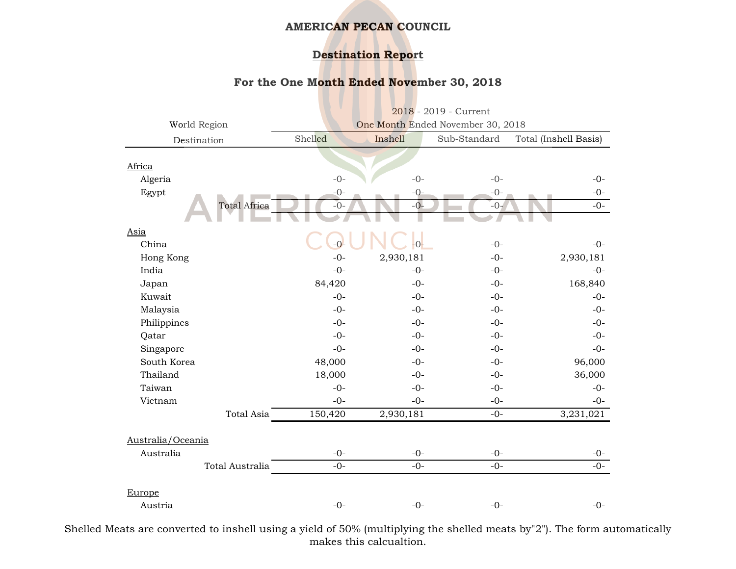# **Destination Report**

### **For the One Month Ended November 30, 2018**

|                     | 2018 - 2019 - Current             |           |              |                       |
|---------------------|-----------------------------------|-----------|--------------|-----------------------|
| World Region        | One Month Ended November 30, 2018 |           |              |                       |
| Destination         | Shelled                           | Inshell   | Sub-Standard | Total (Inshell Basis) |
|                     |                                   |           |              |                       |
| Africa              |                                   |           |              |                       |
| Algeria             | $-0-$                             | $-0-$     | $-0-$        | $-0-$                 |
| Egypt               | $-0-$                             | $-Q-$     | $-0-$        | $-0-$                 |
| <b>Total Africa</b> | $-0-$                             | $-0-$     | $-0-$        | $-0-$                 |
| Asia                |                                   |           |              |                       |
| China               | $-0-$                             | $-0-$     | $-0-$        | $-0-$                 |
| Hong Kong           | $-0-$                             | 2,930,181 | $-0-$        | 2,930,181             |
| India               | $-0-$                             | $-0-$     | $-0-$        | $-0-$                 |
| Japan               | 84,420                            | $-0-$     | $-0-$        | 168,840               |
| Kuwait              | $-0-$                             | $-0-$     | $-0-$        | $-0-$                 |
| Malaysia            | $-0-$                             | $-0-$     | $-0-$        | $-0-$                 |
| Philippines         | $-0-$                             | $-0-$     | $-0-$        | $-0-$                 |
| Qatar               | $-0-$                             | $-0-$     | $-0-$        | $-0-$                 |
| Singapore           | $-0-$                             | $-0-$     | $-0-$        | $-0-$                 |
| South Korea         | 48,000                            | $-0-$     | $-0-$        | 96,000                |
| Thailand            | 18,000                            | $-0-$     | $-0-$        | 36,000                |
| Taiwan              | $-0-$                             | $-0-$     | $-0-$        | $-0-$                 |
| Vietnam             | $-0-$                             | $-0-$     | $-0-$        | $-0-$                 |
| <b>Total Asia</b>   | 150,420                           | 2,930,181 | $-0-$        | 3,231,021             |
| Australia/Oceania   |                                   |           |              |                       |
| Australia           | $-0-$                             | $-0-$     | $-0-$        | $-0-$                 |
| Total Australia     | $-0-$                             | $-0-$     | $-0-$        | $-0-$                 |
|                     |                                   |           |              |                       |
| Europe<br>Austria   | $-0-$                             | $-0-$     | $-0-$        | $-0-$                 |

Shelled Meats are converted to inshell using a yield of 50% (multiplying the shelled meats by"2"). The form automatically makes this calcualtion.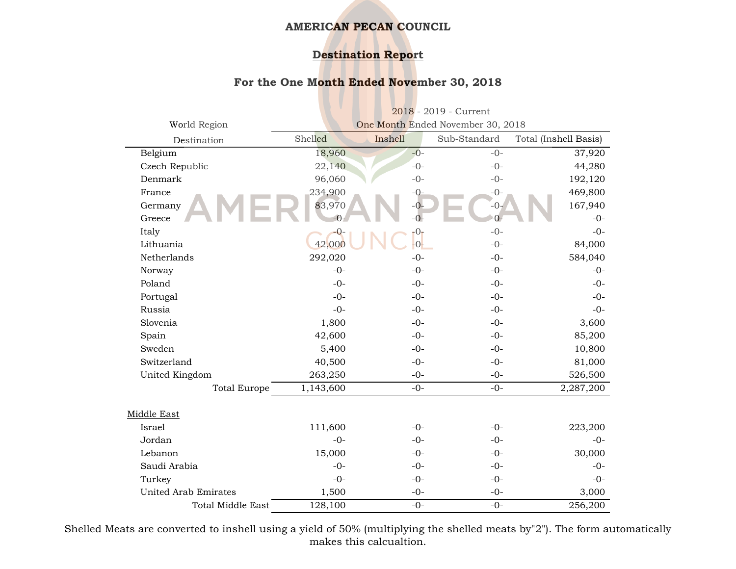# **Destination Report**

### **For the One Month Ended November 30, 2018**

|                             | $2018 - 2019$ - Current           |         |              |                       |
|-----------------------------|-----------------------------------|---------|--------------|-----------------------|
| World Region                | One Month Ended November 30, 2018 |         |              |                       |
| Destination                 | Shelled                           | Inshell | Sub-Standard | Total (Inshell Basis) |
| Belgium                     | 18,960                            | $-0-$   | $-0-$        | 37,920                |
| Czech Republic              | 22,140                            | $-0-$   | $-0-$        | 44,280                |
| Denmark                     | 96,060                            | $-0-$   | $-0-$        | 192,120               |
| France                      | 234,900                           | $-0-$   | $-0-$        | 469,800               |
| Germany                     | 83,970                            | $-0-$   | $-0-$        | 167,940               |
| Greece                      | $-0-$                             | $-0-$   | $-0-$        | $-0-$                 |
| Italy                       | -0                                | $-0-$   | $-0-$        | $-0-$                 |
| Lithuania                   | 42,000                            | $-0-$   | $-0-$        | 84,000                |
| Netherlands                 | 292,020                           | $-0-$   | $-0-$        | 584,040               |
| Norway                      | $-0-$                             | $-0-$   | $-0-$        | $-0-$                 |
| Poland                      | $-0-$                             | $-0-$   | $-0-$        | $-0-$                 |
| Portugal                    | $-0-$                             | $-0-$   | $-0-$        | $-0-$                 |
| Russia                      | $-0-$                             | $-0-$   | $-0-$        | $-0-$                 |
| Slovenia                    | 1,800                             | $-0-$   | $-0-$        | 3,600                 |
| Spain                       | 42,600                            | $-0-$   | $-0-$        | 85,200                |
| Sweden                      | 5,400                             | $-0-$   | $-0-$        | 10,800                |
| Switzerland                 | 40,500                            | $-0-$   | $-0-$        | 81,000                |
| United Kingdom              | 263,250                           | $-0-$   | $-0-$        | 526,500               |
| <b>Total Europe</b>         | 1,143,600                         | $-0-$   | $-0-$        | 2,287,200             |
|                             |                                   |         |              |                       |
| Middle East                 |                                   |         |              |                       |
| Israel                      | 111,600                           | $-0-$   | $-0-$        | 223,200               |
| Jordan                      | $-0-$                             | $-0-$   | $-0-$        | $-0-$                 |
| Lebanon                     | 15,000                            | $-0-$   | $-0-$        | 30,000                |
| Saudi Arabia                | $-0-$                             | $-0-$   | $-0-$        | $-0-$                 |
| Turkey                      | $-0-$                             | $-0-$   | $-0-$        | $-0-$                 |
| <b>United Arab Emirates</b> | 1,500                             | $-0-$   | $-0-$        | 3,000                 |
| <b>Total Middle East</b>    | 128,100                           | $-0-$   | $-0-$        | 256,200               |

Shelled Meats are converted to inshell using a yield of 50% (multiplying the shelled meats by"2"). The form automatically makes this calcualtion.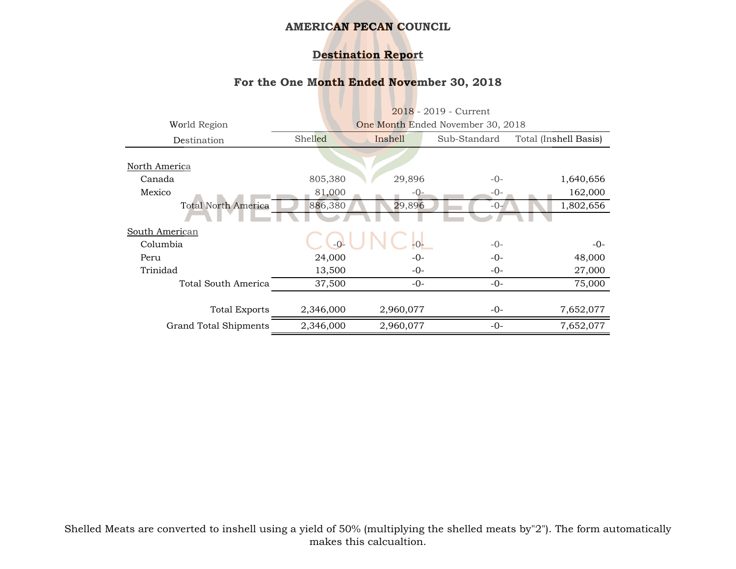# **Destination Report**

### **For the One Month Ended November 30, 2018**

|                            | $2018 - 2019$ - Current           |           |              |                       |
|----------------------------|-----------------------------------|-----------|--------------|-----------------------|
| World Region               | One Month Ended November 30, 2018 |           |              |                       |
| Destination                | Shelled                           | Inshell   | Sub-Standard | Total (Inshell Basis) |
|                            |                                   |           |              |                       |
| North America              |                                   |           |              |                       |
| Canada                     | 805,380                           | 29,896    | $-0-$        | 1,640,656             |
| Mexico                     | 81,000                            | $-0-$     | $-0-$        | 162,000               |
| <b>Total North America</b> | 886,380                           | 29,896    | $-0-$        | 1,802,656             |
|                            |                                   |           |              |                       |
| South American             |                                   |           |              |                       |
| Columbia                   |                                   | $-0-$     | $-0-$        | $-0-$                 |
| Peru                       | 24,000                            | $-0-$     | $-0-$        | 48,000                |
| Trinidad                   | 13,500                            | $-0-$     | $-0-$        | 27,000                |
| Total South America        | 37,500                            | $-0-$     | $-0-$        | 75,000                |
|                            |                                   |           |              |                       |
| <b>Total Exports</b>       | 2,346,000                         | 2,960,077 | $-0-$        | 7,652,077             |
| Grand Total Shipments      | 2,346,000                         | 2,960,077 | $-0-$        | 7,652,077             |